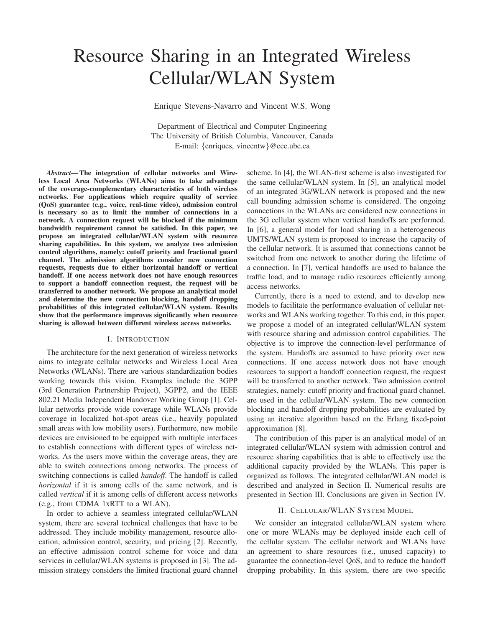# Resource Sharing in an Integrated Wireless Cellular/WLAN System

Enrique Stevens-Navarro and Vincent W.S. Wong

Department of Electrical and Computer Engineering The University of British Columbia, Vancouver, Canada E-mail: {enriques, vincentw}@ece.ubc.ca

*Abstract***— The integration of cellular networks and Wireless Local Area Networks (WLANs) aims to take advantage of the coverage-complementary characteristics of both wireless networks. For applications which require quality of service (QoS) guarantee (e.g., voice, real-time video), admission control is necessary so as to limit the number of connections in a network. A connection request will be blocked if the minimum bandwidth requirement cannot be satisfied. In this paper, we propose an integrated cellular/WLAN system with resource sharing capabilities. In this system, we analyze two admission control algorithms, namely: cutoff priority and fractional guard channel. The admission algorithms consider new connection requests, requests due to either horizontal handoff or vertical handoff. If one access network does not have enough resources to support a handoff connection request, the request will be transferred to another network. We propose an analytical model and determine the new connection blocking, handoff dropping probabilities of this integrated cellular/WLAN system. Results show that the performance improves significantly when resource sharing is allowed between different wireless access networks.**

# I. INTRODUCTION

The architecture for the next generation of wireless networks aims to integrate cellular networks and Wireless Local Area Networks (WLANs). There are various standardization bodies working towards this vision. Examples include the 3GPP (3rd Generation Partnership Project), 3GPP2, and the IEEE 802.21 Media Independent Handover Working Group [1]. Cellular networks provide wide coverage while WLANs provide coverage in localized hot-spot areas (i.e., heavily populated small areas with low mobility users). Furthermore, new mobile devices are envisioned to be equipped with multiple interfaces to establish connections with different types of wireless networks. As the users move within the coverage areas, they are able to switch connections among networks. The process of switching connections is called *handoff*. The handoff is called *horizontal* if it is among cells of the same network, and is called *vertical* if it is among cells of different access networks (e.g., from CDMA 1xRTT to a WLAN).

In order to achieve a seamless integrated cellular/WLAN system, there are several technical challenges that have to be addressed. They include mobility management, resource allocation, admission control, security, and pricing [2]. Recently, an effective admission control scheme for voice and data services in cellular/WLAN systems is proposed in [3]. The admission strategy considers the limited fractional guard channel

scheme. In [4], the WLAN-first scheme is also investigated for the same cellular/WLAN system. In [5], an analytical model of an integrated 3G/WLAN network is proposed and the new call bounding admission scheme is considered. The ongoing connections in the WLANs are considered new connections in the 3G cellular system when vertical handoffs are performed. In [6], a general model for load sharing in a heterogeneous UMTS/WLAN system is proposed to increase the capacity of the cellular network. It is assumed that connections cannot be switched from one network to another during the lifetime of a connection. In [7], vertical handoffs are used to balance the traffic load, and to manage radio resources efficiently among access networks.

Currently, there is a need to extend, and to develop new models to facilitate the performance evaluation of cellular networks and WLANs working together. To this end, in this paper, we propose a model of an integrated cellular/WLAN system with resource sharing and admission control capabilities. The objective is to improve the connection-level performance of the system. Handoffs are assumed to have priority over new connections. If one access network does not have enough resources to support a handoff connection request, the request will be transferred to another network. Two admission control strategies, namely: cutoff priority and fractional guard channel, are used in the cellular/WLAN system. The new connection blocking and handoff dropping probabilities are evaluated by using an iterative algorithm based on the Erlang fixed-point approximation [8].

The contribution of this paper is an analytical model of an integrated cellular/WLAN system with admission control and resource sharing capabilities that is able to effectively use the additional capacity provided by the WLANs. This paper is organized as follows. The integrated cellular/WLAN model is described and analyzed in Section II. Numerical results are presented in Section III. Conclusions are given in Section IV.

### II. CELLULAR/WLAN SYSTEM MODEL

We consider an integrated cellular/WLAN system where one or more WLANs may be deployed inside each cell of the cellular system. The cellular network and WLANs have an agreement to share resources (i.e., unused capacity) to guarantee the connection-level QoS, and to reduce the handoff dropping probability. In this system, there are two specific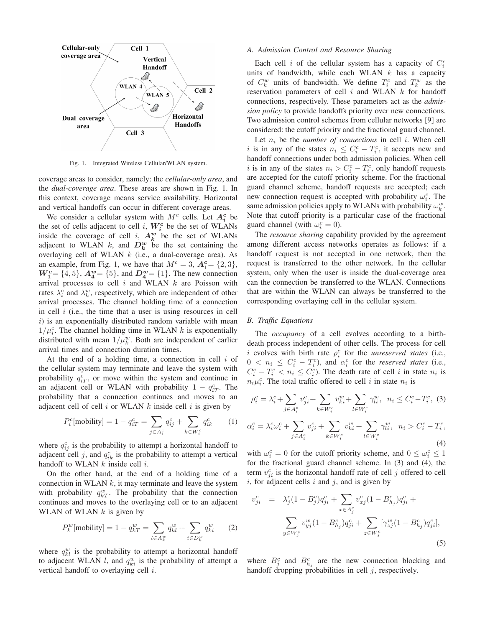

Fig. 1. Integrated Wireless Cellular/WLAN system.

coverage areas to consider, namely: the *cellular-only area*, and the *dual-coverage area*. These areas are shown in Fig. 1. In this context, coverage means service availability. Horizontal and vertical handoffs can occur in different coverage areas.

We consider a cellular system with  $M<sup>c</sup>$  cells. Let  $A<sub>i</sub><sup>c</sup>$  be the set of cells adjacent to cell i,  $W_i^c$  be the set of WLANs inside the coverage of cell i,  $A_k^w$  be the set of WLANs adjacent to WLAN  $k$ , and  $D_k^w$  be the set containing the overlaying cell of WLAN  $k$  (i.e., a dual-coverage area). As an example, from Fig. 1, we have that  $M^c = 3$ ,  $A_1^c = \{2, 3\}$ ,  $W_1^c = \{4, 5\}$ ,  $A_4^w = \{5\}$ , and  $D_4^w = \{1\}$ . The new connection arrival processes to cell  $i$  and WLAN  $k$  are Poisson with rates  $\lambda_i^c$  and  $\lambda_k^w$ , respectively, which are independent of other<br>prival processes. The channel holding time of a connection arrival processes. The channel holding time of a connection in cell  $i$  (i.e., the time that a user is using resources in cell  $i)$  is an exponentially distributed random variable with mean  $1/\mu_i^c$ . The channel holding time in WLAN k is exponentially distributed with mean  $1/\mu_v^w$ . Both are independent of earlier distributed with mean  $1/\mu_k^w$ . Both are independent of earlier<br>grivel times and connection duration times arrival times and connection duration times.

At the end of a holding time, a connection in cell  $i$  of the cellular system may terminate and leave the system with probability  $q_{iT}^c$ , or move within the system and continue in<br>an adjacent cell or WLAN with probability  $1 - a^c$ . The an adjacent cell or WLAN with probability  $1 - q_{iT}^c$ . The probability that a connection continues and moves to an adjacent cell of cell i or WLAN  $k$  inside cell i is given by

$$
P_i^c[\text{mobility}] = 1 - q_{iT}^c = \sum_{j \in A_i^c} q_{ij}^c + \sum_{k \in W_i^c} q_{ik}^c \qquad (1)
$$

where  $q_{ij}^c$  is the probability to attempt a horizontal handoff to attenuate and  $q_c^c$  is the probability to attenuate vertical adjacent cell j, and  $q_{ik}^c$  is the probability to attempt a vertical<br>handoff to WI AN  $k$  inside cell j handoff to WLAN  $k$  inside cell  $i$ .

On the other hand, at the end of a holding time of a connection in WLAN  $k$ , it may terminate and leave the system with probability  $q_{kT}^w$ . The probability that the connection continues and moves to the overlaying cell or to an adjacent continues and moves to the overlaying cell or to an adjacent WLAN of WLAN  $k$  is given by

$$
P_k^w[\text{mobility}] = 1 - q_{kT}^w = \sum_{l \in A_k^w} q_{kl}^w + \sum_{i \in D_k^w} q_{ki}^w \qquad (2)
$$

where  $q_{kl}^w$  is the probability to attempt a horizontal handoff<br>to adjacent WLAN *l* and  $q^w$  is the probability of attempt a to adjacent WLAN *l*, and  $q_{ki}^w$  is the probability of attempt a<br>vertical handoff to overlaving call *i* vertical handoff to overlaying cell i.

#### *A. Admission Control and Resource Sharing*

Each cell i of the cellular system has a capacity of  $C_i^c$ units of bandwidth, while each WLAN  $k$  has a capacity of  $C_k^w$  units of bandwidth. We define  $T_i^c$  and  $T_k^w$  as the reservation parameters of cell *i* and WI AN *k* for handoff reservation parameters of cell  $i$  and WLAN  $k$  for handoff connections, respectively. These parameters act as the *admission policy* to provide handoffs priority over new connections. Two admission control schemes from cellular networks [9] are considered: the cutoff priority and the fractional guard channel.

Let  $n_i$  be the *number of connections* in cell *i*. When cell i is in any of the states  $n_i \leq C_i^c - T_i^c$ , it accepts new and<br>handoff connections under both admission policies. When cell handoff connections under both admission policies. When cell i is in any of the states  $n_i > C_i^c - T_i^c$ , only handoff requests<br>are accepted for the cutoff priority scheme. For the fractional are accepted for the cutoff priority scheme. For the fractional guard channel scheme, handoff requests are accepted; each new connection request is accepted with probability  $\omega_i^c$ . The same admission policies apply to WI ANs with probability  $\omega^w$ same admission policies apply to WLANs with probability  $\omega_k^w$ .<br>Note that cutoff priority is a particular case of the fractional Note that cutoff priority is a particular case of the fractional guard channel (with  $\omega_i^c = 0$ ).<br>The resource showing consults

The *resource sharing* capability provided by the agreement among different access networks operates as follows: if a handoff request is not accepted in one network, then the request is transferred to the other network. In the cellular system, only when the user is inside the dual-coverage area can the connection be transferred to the WLAN. Connections that are within the WLAN can always be transferred to the corresponding overlaying cell in the cellular system.

#### *B. Traffic Equations*

The *occupancy* of a cell evolves according to a birthdeath process independent of other cells. The process for cell *i* evolves with birth rate  $\rho_i^c$  for the *unreserved states* (i.e.,  $0 \leq n_i \leq C^c - T^c$ ) and  $\rho_i^c$  for the *reserved states* (i.e.,  $0 < n_i \leq C_i^c - T_i^c$ ), and  $\alpha_i^c$  for the *reserved states* (i.e.,  $C_c^c - T_c^c < n_i \leq C_c^c$ ). The death rate of cell *i* in state *n*, is  $C_i^c - T_i^c < n_i \le C_i^c$ . The death rate of cell *i* in state  $n_i$  is  $n_i u^c$ . The total traffic offered to cell *i* in state  $n_i$  is  $n_i \mu_i^c$ . The total traffic offered to cell *i* in state  $n_i$  is

$$
\rho_i^c = \lambda_i^c + \sum_{j \in A_i^c} v_{ji}^c + \sum_{k \in W_i^c} v_{ki}^w + \sum_{l \in W_i^c} \gamma_{li}^w, \ \ n_i \le C_i^c - T_i^c, \ \ (3)
$$

$$
\alpha_i^c = \lambda_i^c \omega_i^c + \sum_{j \in A_i^c} v_{ji}^c + \sum_{k \in W_i^c} v_{ki}^w + \sum_{l \in W_i^c} \gamma_{li}^w, \quad n_i > C_i^c - T_i^c,
$$
\n(4)

with  $\omega_i^c = 0$  for the cutoff priority scheme, and  $0 \le \omega_i^c \le 1$ <br>for the fractional guard channel scheme. In (3) and (4) the for the fractional guard channel scheme. In (3) and (4), the term  $v_j^c$  is the horizontal handoff rate of cell j offered to cell<br>*i* for adjacent cells *i* and *i* and is given by  $i$ , for adjacent cells  $i$  and  $j$ , and is given by

$$
v_{ji}^c = \lambda_j^c (1 - B_j^c) q_{ji}^c + \sum_{x \in A_j^c} v_{xj}^c (1 - B_{h_j}^c) q_{ji}^c + \sum_{y \in W_j^c} v_{yj}^w (1 - B_{h_j}^c) q_{ji}^c + \sum_{z \in W_j^c} [\gamma_{zj}^w (1 - B_{h_j}^c) q_{ji}^c],
$$
\n(5)

where  $B_j^c$  and  $B_{h_j}^c$  are the new connection blocking and handoff dropping probabilities in cell *i* respectively. handoff dropping probabilities in cell  $j$ , respectively.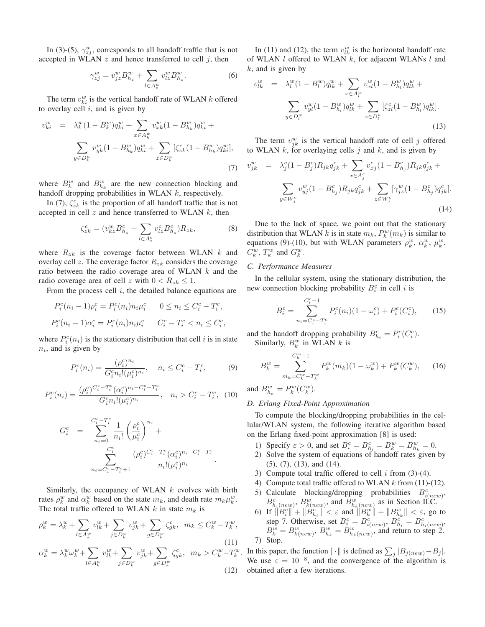In (3)-(5),  $\gamma_{zi}^w$ , corresponds to all handoff traffic that is not<br>cented in WI AN  $\alpha$  and hance transferred to cell i, then accepted in WLAN  $z$  and hence transferred to cell  $j$ , then

$$
\gamma_{zj}^{w} = v_{jz}^{w} B_{h_z}^{w} + \sum_{l \in A_z^{w}} v_{lz}^{w} B_{h_z}^{w}.
$$
 (6)

The term  $v_{ki}^w$  is the vertical handoff rate of WLAN k offered<br>overlay cell i and is given by to overlay cell  $i$ , and is given by

$$
v_{ki}^{w} = \lambda_{k}^{w} (1 - B_{k}^{w}) q_{ki}^{w} + \sum_{x \in A_{k}^{w}} v_{xk}^{w} (1 - B_{h_{k}}^{w}) q_{ki}^{w} + \sum_{y \in D_{k}^{w}} v_{yk}^{w} (1 - B_{h_{k}}^{w}) q_{ki}^{w} + \sum_{z \in D_{k}^{w}} [ \zeta_{zk}^{z} (1 - B_{h_{k}}^{w}) q_{ki}^{w} ],
$$
\n(7)

where  $B_k^w$  and  $B_{h_k}^w$  are the new connection blocking and handoff dropping probabilities in WI AN *k* respectively handoff dropping probabilities in WLAN  $k$ , respectively.

In (7),  $\zeta_{z\kappa}^c$  is the proportion of all handoff traffic that is not<br>cented in cell  $\zeta$  and hance transferred to WI AN *k* then accepted in cell  $z$  and hence transferred to WLAN  $k$ , then

$$
\zeta_{zk}^c = (v_{kz}^w B_{h_z}^c + \sum_{l \in A_z^c} v_{lz}^c B_{h_z}^c) R_{zk},\tag{8}
$$

where  $R_{zk}$  is the coverage factor between WLAN  $k$  and overlay cell z. The coverage factor  $R_{zk}$  considers the coverage ratio between the radio coverage area of WLAN  $k$  and the radio coverage area of cell z with  $0 < R_{zk} \leq 1$ .

From the process cell *i*, the detailed balance equations are

$$
P_i^c(n_i - 1)\rho_i^c = P_i^c(n_i)n_i\mu_i^c \qquad 0 \le n_i \le C_i^c - T_i^c,
$$
  

$$
P_i^c(n_i - 1)\alpha_i^c = P_i^c(n_i)n_i\mu_i^c \qquad C_i^c - T_i^c < n_i \le C_i^c,
$$

where  $P_i^c(n_i)$  is the stationary distribution that cell i is in state<br> $p_i$  and is given by  $n_i$ , and is given by

$$
P_i^c(n_i) = \frac{(\rho_i^c)^{n_i}}{G_i^c n_i! (\mu_i^c)^{n_i}}, \quad n_i \le C_i^c - T_i^c,
$$
 (9)

$$
P_i^c(n_i) = \frac{(\rho_i^c)^{C_i^c - T_i^c} (\alpha_i^c)^{n_i - C_i^c + T_i^c}}{G_i^c n_i! (\mu_i^c)^{n_i}}, \quad n_i > C_i^c - T_i^c, \tag{10}
$$

$$
G_i^c = \sum_{n_i=0}^{C_i^c - T_i^c} \frac{1}{n_i!} \left(\frac{\rho_i^c}{\mu_i^c}\right)^{n_i} + \sum_{n_i=C_i^c - T_i^c + 1}^{C_i^c} \frac{(\rho_i^c)^{C_i^c - T_i^c} (\alpha_i^c)^{n_i - C_i^c + T_i^c}}{n_i! (\mu_i^c)^{n_i}}.
$$

Similarly, the occupancy of WLAN  $k$  evolves with birth rates  $\rho_k^w$  and  $\alpha_k^w$  based on the state  $m_k$ , and death rate  $m_k \mu_k^w$ .<br>The total traffic offered to WI AN *k* in state  $m_k$  is The total traffic offered to WLAN  $k$  in state  $m_k$  is

$$
\rho_k^w = \lambda_k^w + \sum_{l \in A_k^w} v_{lk}^w + \sum_{j \in D_k^w} v_{jk}^w + \sum_{g \in D_k^w} \zeta_{gk}^c, \ \ m_k \le C_k^w - T_k^w,
$$
\n(11)

$$
\alpha_k^w = \lambda_k^w \omega_k^w + \sum_{l \in A_k^w} v_{lk}^w + \sum_{j \in D_k^w} v_{jk}^w + \sum_{g \in D_k^w} \zeta_{gk}^c, \quad m_k > C_k^w - T_k^w.
$$
\n(12)

In (11) and (12), the term  $v_{lk}^w$  is the horizontal handoff rate<br>WI AN *l* offered to WI AN *k* for adjacent WI ANs *l* and of WLAN  $l$  offered to WLAN  $k$ , for adjacent WLANs  $l$  and  $k$ , and is given by

$$
v_{lk}^{w} = \lambda_{l}^{w} (1 - B_{l}^{w}) q_{lk}^{w} + \sum_{x \in A_{l}^{w}} v_{xl}^{w} (1 - B_{h_{l}}^{w}) q_{lk}^{w} + \sum_{y \in D_{l}^{w}} v_{yl}^{w} (1 - B_{h_{l}}^{w}) q_{lk}^{w} + \sum_{z \in D_{l}^{w}} [\zeta_{zl}^{c} (1 - B_{h_{l}}^{w}) q_{lk}^{w}].
$$
\n(13)

The term  $v_{jk}^w$  is the vertical handoff rate of cell j offered<br>WI AN *k* for overlaying cells *i* and *k* and is given by to WLAN  $k$ , for overlaying cells  $j$  and  $k$ , and is given by

$$
v_{jk}^{w} = \lambda_{j}^{c} (1 - B_{j}^{c}) R_{jk} q_{jk}^{c} + \sum_{x \in A_{j}^{c}} v_{xj}^{c} (1 - B_{h_{j}}^{c}) R_{jk} q_{jk}^{c} + \sum_{y \in W_{j}^{c}} v_{yj}^{w} (1 - B_{h_{j}}^{c}) R_{jk} q_{jk}^{c} + \sum_{z \in W_{j}^{c}} [\gamma_{jz}^{w} (1 - B_{h_{j}}^{c}) q_{jk}^{c}].
$$
\n(14)

Due to the lack of space, we point out that the stationary distribution that WLAN k is in state  $m_k$ ,  $P_k^w(m_k)$  is similar to equations (9)-(10) but with WI AN parameters  $\alpha^w \alpha^w \mu^w$ equations (9)-(10), but with WLAN parameters  $\rho_k^w$ ,  $\alpha_k^w$ ,  $\mu_k^w$ ,  $C^w$  *Tw* and  $C^w$  $C_k^w$ ,  $T_k^w$  and  $G_k^w$ .

# *C. Performance Measures*

In the cellular system, using the stationary distribution, the new connection blocking probability  $B_i^c$  in cell *i* is

$$
B_i^c = \sum_{n_i = C_i^c - T_i^c}^{C_i^c - 1} P_i^c(n_i) (1 - \omega_i^c) + P_i^c(C_i^c), \qquad (15)
$$

and the handoff dropping probability  $B_{h_i}^c = P_i^c(C_i^c)$ .<br>
Similarly  $B_w^w$  in WI AN *k* is Similarly,  $B_k^w$  in WLAN  $k$  is

$$
B_k^w = \sum_{m_k = C_k^w - T_k^w}^{C_k^w - 1} P_k^w(m_k)(1 - \omega_k^w) + P_k^w(C_k^w), \qquad (16)
$$

and  $B_{h_k}^w = P_k^w(C_k^w)$ .

# *D. Erlang Fixed-Point Approximation*

To compute the blocking/dropping probabilities in the cellular/WLAN system, the following iterative algorithm based on the Erlang fixed-point approximation [8] is used:

- 1) Specify  $\varepsilon > 0$ , and set  $B_i^c = B_{i}^c = B_{ik}^w = B_{ik}^w = 0$ .<br>2) Solve the system of equations of bandoff rates given
- 2) Solve the system of equations of handoff rates given by (5), (7), (13), and (14).
- 3) Compute total traffic offered to cell  $i$  from (3)-(4).
- 4) Compute total traffic offered to WLAN  $k$  from (11)-(12).
- 5) Calculate blocking/dropping probabilities  $B_{i(new)}^c$ ,<br>  $B_c^c$ ,  $B_w^w$  and  $B_w^w$  as in Section II C
- $B_{h_i(new)}^c$ ,  $B_{k(new)}^w$ , and  $B_{h_k(new)}^w$  as in Section II.C.<br>
6) If  $||B_i^c|| + ||B_{h_i}^c|| < \varepsilon$  and  $||B_k^w|| + ||B_{h_k}^w|| < \varepsilon$ , go to step 7. Otherwise, set  $B_c^c B_c^c$ step 7. Otherwise, set  $B_i^c = B_{i(new)}^c$ ,  $B_{h_i}^c = B_{h_i(new)}^c$ ,<br>  $B_k^w = B_{k(new)}^w$ ,  $B_{h_k}^w = B_{h_k(new)}^w$ , and return to step 2. 7) Stop.

In this paper, the function  $\|\cdot\|$  is defined as  $\sum_{j} |B_{j(new)} - B_{j}|$ .<br>We use  $\varepsilon = 10^{-8}$  and the convergence of the algorithm is We use  $\varepsilon = 10^{-8}$ , and the convergence of the algorithm is obtained after a few iterations.